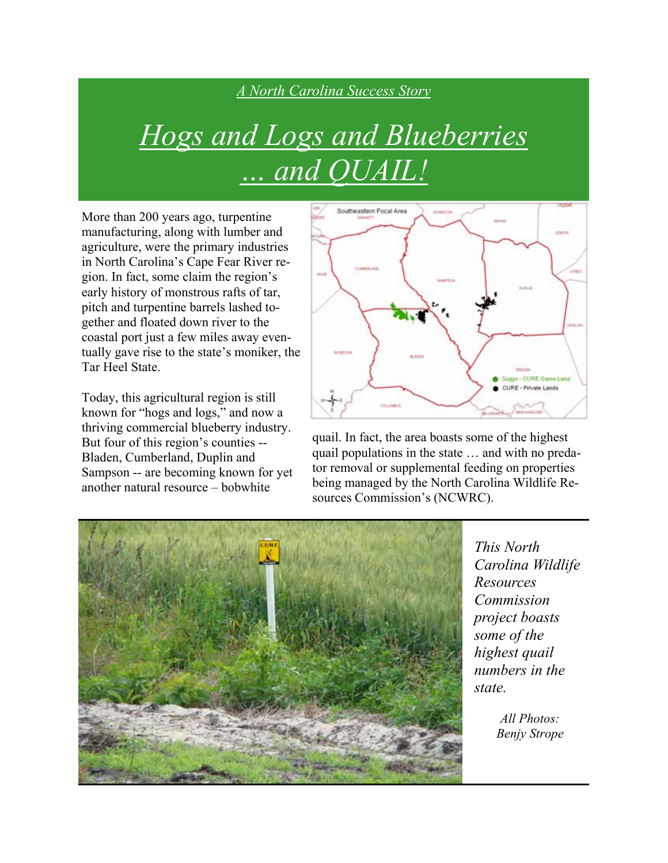## *A North Carolina Success Story*

## *Hogs and Logs and Blueberries … and QUAIL!*

More than 200 years ago, turpentine manufacturing, along with lumber and agriculture, were the primary industries in North Carolina's Cape Fear River region. In fact, some claim the region's early history of monstrous rafts of tar, pitch and turpentine barrels lashed together and floated down river to the coastal port just a few miles away eventually gave rise to the state's moniker, the Tar Heel State.

Today, this agricultural region is still known for "hogs and logs," and now a thriving commercial blueberry industry. But four of this region's counties -- Bladen, Cumberland, Duplin and Sampson -- are becoming known for yet another natural resource – bobwhite



quail. In fact, the area boasts some of the highest quail populations in the state … and with no predator removal or supplemental feeding on properties being managed by the North Carolina Wildlife Resources Commission's (NCWRC).



*This North Carolina Wildlife Resources Commission project boasts some of the highest quail numbers in the state.* 

> *All Photos: Benjy Strope*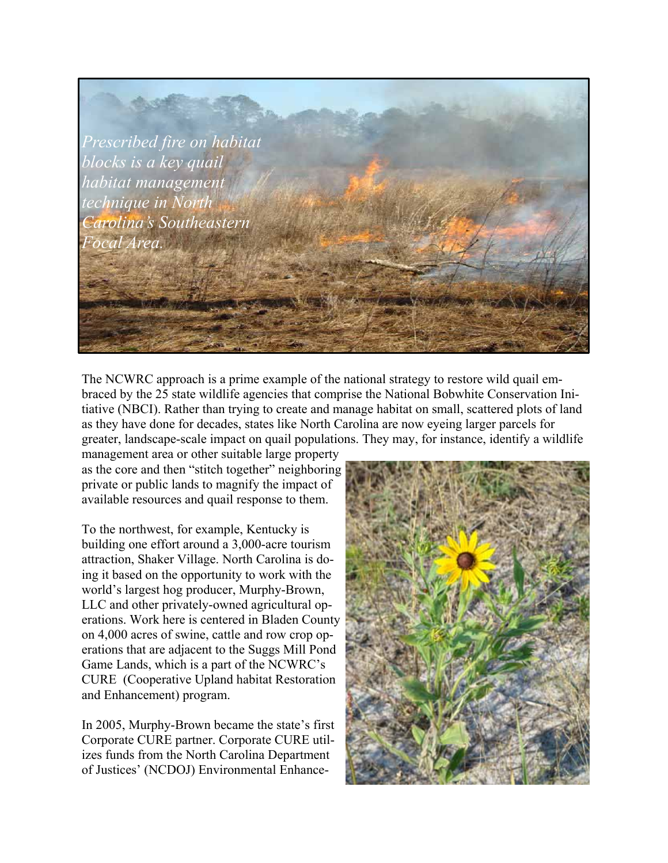

The NCWRC approach is a prime example of the national strategy to restore wild quail embraced by the 25 state wildlife agencies that comprise the National Bobwhite Conservation Initiative (NBCI). Rather than trying to create and manage habitat on small, scattered plots of land as they have done for decades, states like North Carolina are now eyeing larger parcels for greater, landscape-scale impact on quail populations. They may, for instance, identify a wildlife

management area or other suitable large property as the core and then "stitch together" neighboring private or public lands to magnify the impact of available resources and quail response to them.

To the northwest, for example, Kentucky is building one effort around a 3,000-acre tourism attraction, Shaker Village. North Carolina is doing it based on the opportunity to work with the world's largest hog producer, Murphy-Brown, LLC and other privately-owned agricultural operations. Work here is centered in Bladen County on 4,000 acres of swine, cattle and row crop operations that are adjacent to the Suggs Mill Pond Game Lands, which is a part of the NCWRC's CURE (Cooperative Upland habitat Restoration and Enhancement) program.

In 2005, Murphy-Brown became the state's first Corporate CURE partner. Corporate CURE utilizes funds from the North Carolina Department of Justices' (NCDOJ) Environmental Enhance-

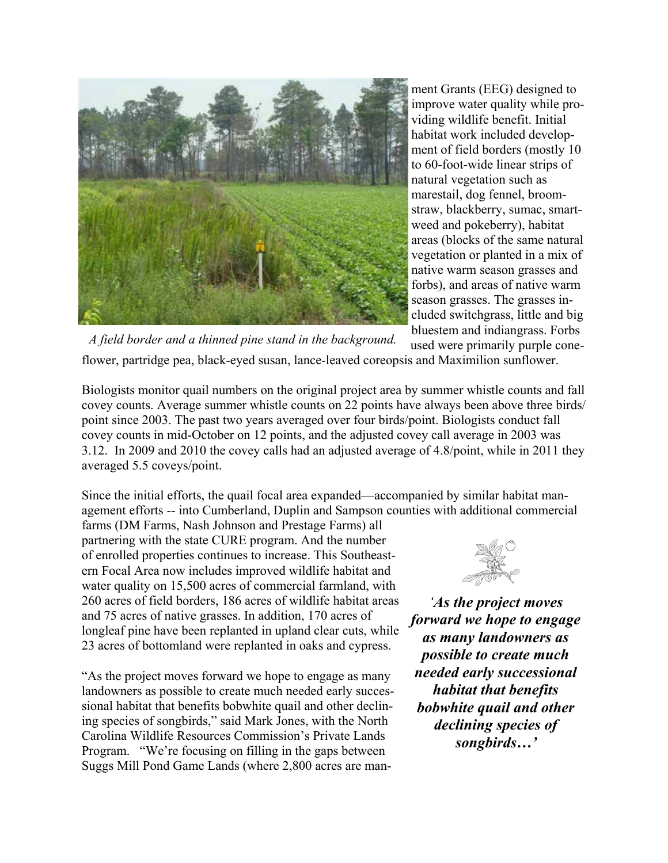

ment Grants (EEG) designed to improve water quality while providing wildlife benefit. Initial habitat work included development of field borders (mostly 10 to 60-foot-wide linear strips of natural vegetation such as marestail, dog fennel, broomstraw, blackberry, sumac, smartweed and pokeberry), habitat areas (blocks of the same natural vegetation or planted in a mix of native warm season grasses and forbs), and areas of native warm season grasses. The grasses included switchgrass, little and big bluestem and indiangrass. Forbs

used were primarily purple coneflower, partridge pea, black-eyed susan, lance-leaved coreopsis and Maximilion sunflower. *A field border and a thinned pine stand in the background.* 

Biologists monitor quail numbers on the original project area by summer whistle counts and fall covey counts. Average summer whistle counts on 22 points have always been above three birds/ point since 2003. The past two years averaged over four birds/point. Biologists conduct fall covey counts in mid-October on 12 points, and the adjusted covey call average in 2003 was 3.12. In 2009 and 2010 the covey calls had an adjusted average of 4.8/point, while in 2011 they averaged 5.5 coveys/point.

Since the initial efforts, the quail focal area expanded—accompanied by similar habitat management efforts -- into Cumberland, Duplin and Sampson counties with additional commercial

farms (DM Farms, Nash Johnson and Prestage Farms) all partnering with the state CURE program. And the number of enrolled properties continues to increase. This Southeastern Focal Area now includes improved wildlife habitat and water quality on 15,500 acres of commercial farmland, with 260 acres of field borders, 186 acres of wildlife habitat areas and 75 acres of native grasses. In addition, 170 acres of longleaf pine have been replanted in upland clear cuts, while 23 acres of bottomland were replanted in oaks and cypress.

"As the project moves forward we hope to engage as many landowners as possible to create much needed early successional habitat that benefits bobwhite quail and other declining species of songbirds," said Mark Jones, with the North Carolina Wildlife Resources Commission's Private Lands Program. "We're focusing on filling in the gaps between Suggs Mill Pond Game Lands (where 2,800 acres are man-



*'As the project moves forward we hope to engage as many landowners as possible to create much needed early successional habitat that benefits bobwhite quail and other declining species of songbirds…'*